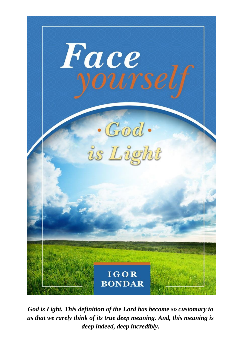

*God is Light. This definition of the Lord has become so customary to us that we rarely think of its true deep meaning. And, this meaning is deep indeed, deep incredibly.*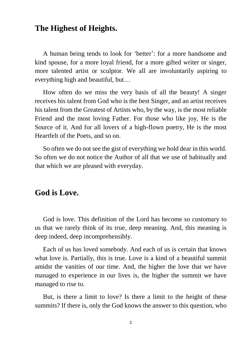#### **The Highest of Heights.**

 A human being tends to look for 'better': for a more handsome and kind spouse, for a more loyal friend, for a more gifted writer or singer, more talented artist or sculptor. We all are involuntarily aspiring to everything high and beautiful, but…

 How often do we miss the very basis of all the beauty! A singer receives his talent from God who is the best Singer, and an artist receives his talent from the Greatest of Artists who, by the way, is the most reliable Friend and the most loving Father. For those who like joy, He is the Source of it. And for all lovers of a high-flown poetry, He is the most Heartfelt of the Poets, and so on.

 So often we do not see the gist of everything we hold dear in this world. So often we do not notice the Author of all that we use of habitually and that which we are pleased with everyday.

#### **God is Love.**

 God is love. This definition of the Lord has become so customary to us that we rarely think of its true, deep meaning. And, this meaning is deep indeed, deep incomprehensibly.

 Each of us has loved somebody. And each of us is certain that knows what love is. Partially, this is true. Love is a kind of a beautiful summit amidst the vanities of our time. And, the higher the love that we have managed to experience in our lives is, the higher the summit we have managed to rise to.

 But, is there a limit to love? Is there a limit to the height of these summits? If there is, only the God knows the answer to this question, who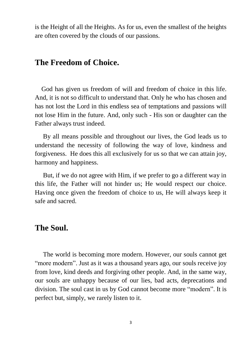is the Height of all the Heights. As for us, even the smallest of the heights are often covered by the clouds of our passions.

#### **The Freedom of Choice.**

God has given us freedom of will and freedom of choice in this life. And, it is not so difficult to understand that. Only he who has chosen and has not lost the Lord in this endless sea of temptations and passions will not lose Him in the future. And, only such - His son or daughter can the Father always trust indeed.

 By all means possible and throughout our lives, the God leads us to understand the necessity of following the way of love, kindness and forgiveness. He does this all exclusively for us so that we can attain joy, harmony and happiness.

 But, if we do not agree with Him, if we prefer to go a different way in this life, the Father will not hinder us; He would respect our choice. Having once given the freedom of choice to us, He will always keep it safe and sacred.

## **The Soul.**

 The world is becoming more modern. However, our souls cannot get "more modern". Just as it was a thousand years ago, our souls receive joy from love, kind deeds and forgiving other people. And, in the same way, our souls are unhappy because of our lies, bad acts, deprecations and division. The soul cast in us by God cannot become more "modern". It is perfect but, simply, we rarely listen to it.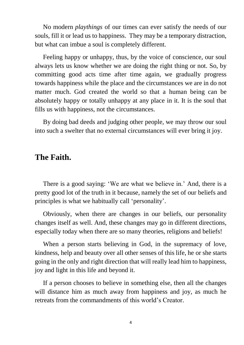No modern *playthings* of our times can ever satisfy the needs of our souls, fill it or lead us to happiness. They may be a temporary distraction, but what can imbue a soul is completely different.

 Feeling happy or unhappy, thus, by the voice of conscience, our soul always lets us know whether we are doing the right thing or not. So, by committing good acts time after time again, we gradually progress towards happiness while the place and the circumstances we are in do not matter much. God created the world so that a human being can be absolutely happy or totally unhappy at any place in it. It is the soul that fills us with happiness, not the circumstances.

 By doing bad deeds and judging other people, we may throw our soul into such a swelter that no external circumstances will ever bring it joy.

## **The Faith.**

 There is a good saying: 'We are what we believe in.' And, there is a pretty good lot of the truth in it because, namely the set of our beliefs and principles is what we habitually call 'personality'.

 Obviously, when there are changes in our beliefs, our personality changes itself as well. And, these changes may go in different directions, especially today when there are so many theories, religions and beliefs!

 When a person starts believing in God, in the supremacy of love, kindness, help and beauty over all other senses of this life, he or she starts going in the only and right direction that will really lead him to happiness, joy and light in this life and beyond it.

 If a person chooses to believe in something else, then all the changes will distance him as much away from happiness and joy, as much he retreats from the commandments of this world's Creator.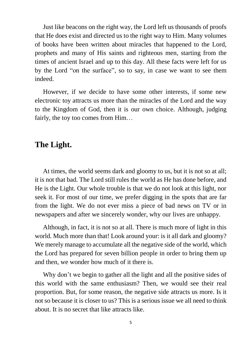Just like beacons on the right way, the Lord left us thousands of proofs that He does exist and directed us to the right way to Him. Many volumes of books have been written about miracles that happened to the Lord, prophets and many of His saints and righteous men, starting from the times of ancient Israel and up to this day. All these facts were left for us by the Lord "on the surface", so to say, in case we want to see them indeed.

 However, if we decide to have some other interests, if some new electronic toy attracts us more than the miracles of the Lord and the way to the Kingdom of God, then it is our own choice. Although, judging fairly, the toy too comes from Him…

## **The Light.**

At times, the world seems dark and gloomy to us, but it is not so at all; it is not that bad. The Lord still rules the world as He has done before, and He is the Light. Our whole trouble is that we do not look at this light, nor seek it. For most of our time, we prefer digging in the spots that are far from the light. We do not ever miss a piece of bad news on TV or in newspapers and after we sincerely wonder, why our lives are unhappy.

 Although, in fact, it is not so at all. There is much more of light in this world. Much more than that! Look around your: is it all dark and gloomy? We merely manage to accumulate all the negative side of the world, which the Lord has prepared for seven billion people in order to bring them up and then, we wonder how much of it there is.

Why don't we begin to gather all the light and all the positive sides of this world with the same enthusiasm? Then, we would see their real proportion. But, for some reason, the negative side attracts us more. Is it not so because it is closer to us? This is a serious issue we all need to think about. It is no secret that like attracts like.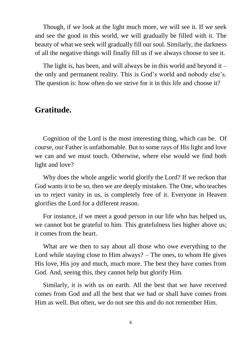Though, if we look at the light much more, we will see it. If we seek and see the good in this world, we will gradually be filled with it. The beauty of what we seek will gradually fill our soul. Similarly, the darkness of all the negative things will finally fill us if we always choose to see it.

The light is, has been, and will always be in this world and beyond it  $$ the only and permanent reality. This is God's world and nobody else's. The question is: how often do we strive for it in this life and choose it?

#### **Gratitude.**

 Cognition of the Lord is the most interesting thing, which can be. Of course, our Father is unfathomable. But to some rays of His light and love we can and we must touch. Otherwise, where else would we find both light and love?

 Why does the whole angelic world glorify the Lord? If we reckon that God wants it to be so, then we are deeply mistaken. The One, who teaches us to reject vanity in us, is completely free of it. Everyone in Heaven glorifies the Lord for a different reason.

 For instance, if we meet a good person in our life who has helped us, we cannot but be grateful to him. This gratefulness lies higher above us; it comes from the heart.

 What are we then to say about all those who owe everything to the Lord while staying close to Him always? – The ones, to whom He gives His love, His joy and much, much more. The best they have comes from God. And, seeing this, they cannot help but glorify Him.

 Similarly, it is with us on earth. All the best that we have received comes from God and all the best that we had or shall have comes from Him as well. But often, we do not see this and do not remember Him.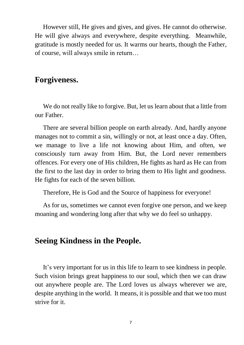However still, He gives and gives, and gives. He cannot do otherwise. He will give always and everywhere, despite everything. Meanwhile, gratitude is mostly needed for us. It warms our hearts, though the Father, of course, will always smile in return…

## **Forgiveness.**

 We do not really like to forgive. But, let us learn about that a little from our Father.

 There are several billion people on earth already. And, hardly anyone manages not to commit a sin, willingly or not, at least once a day. Often, we manage to live a life not knowing about Him, and often, we consciously turn away from Him. But, the Lord never remembers offences. For every one of His children, He fights as hard as He can from the first to the last day in order to bring them to His light and goodness. He fights for each of the seven billion.

Therefore, He is God and the Source of happiness for everyone!

 As for us, sometimes we cannot even forgive one person, and we keep moaning and wondering long after that why we do feel so unhappy.

## **Seeing Kindness in the People.**

 It's very important for us in this life to learn to see kindness in people. Such vision brings great happiness to our soul, which then we can draw out anywhere people are. The Lord loves us always wherever we are, despite anything in the world. It means, it is possible and that we too must strive for it.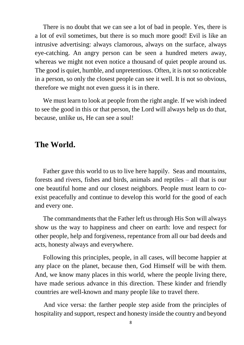There is no doubt that we can see a lot of bad in people. Yes, there is a lot of evil sometimes, but there is so much more good! Evil is like an intrusive advertising: always clamorous, always on the surface, always eye-catching. An angry person can be seen a hundred meters away, whereas we might not even notice a thousand of quiet people around us. The good is quiet, humble, and unpretentious. Often, it is not so noticeable in a person, so only the closest people can see it well. It is not so obvious, therefore we might not even guess it is in there.

 We must learn to look at people from the right angle. If we wish indeed to see the good in this or that person, the Lord will always help us do that, because, unlike us, He can see a soul!

# **The World.**

 Father gave this world to us to live here happily. Seas and mountains, forests and rivers, fishes and birds, animals and reptiles – all that is our one beautiful home and our closest neighbors. People must learn to coexist peacefully and continue to develop this world for the good of each and every one.

 The commandments that the Father left us through His Son will always show us the way to happiness and cheer on earth: love and respect for other people, help and forgiveness, repentance from all our bad deeds and acts, honesty always and everywhere.

 Following this principles, people, in all cases, will become happier at any place on the planet, because then, God Himself will be with them. And, we know many places in this world, where the people living there, have made serious advance in this direction. These kinder and friendly countries are well-known and many people like to travel there.

And vice versa: the farther people step aside from the principles of hospitality and support, respect and honesty inside the country and beyond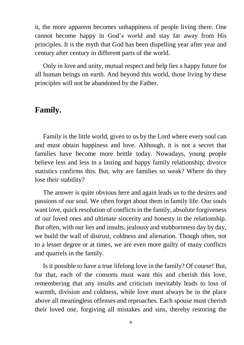it, the more apparent becomes unhappiness of people living there. One cannot become happy in God's world and stay far away from His principles. It is the myth that God has been dispelling year after year and century after century in different parts of the world.

 Only in love and unity, mutual respect and help lies a happy future for all human beings on earth. And beyond this world, those living by these principles will not be abandoned by the Father.

#### **Family.**

 Family is the little world, given to us by the Lord where every soul can and must obtain happiness and love. Although, it is not a secret that families have become more brittle today. Nowadays, young people believe less and less in a lasting and happy family relationship; divorce statistics confirms this. But, why are families so weak? Where do they lose their stability?

 The answer is quite obvious here and again leads us to the desires and passions of our soul. We often forget about them in family life. Our souls want love, quick resolution of conflicts in the family, absolute forgiveness of our loved ones and ultimate sincerity and honesty in the relationship. But often, with our lies and insults, jealousy and stubbornness day by day, we build the wall of distrust, coldness and alienation. Though often, not to a lesser degree or at times, we are even more guilty of many conflicts and quarrels in the family.

 Is it possible to have a true lifelong love in the family? Of course! But, for that, each of the consorts must want this and cherish this love, remembering that any insults and criticism inevitably leads to loss of warmth, division and coldness, while love must always be in the place above all meaningless offenses and reproaches. Each spouse must cherish their loved one, forgiving all mistakes and sins, thereby restoring the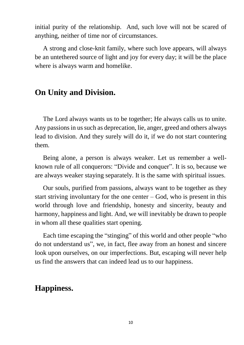initial purity of the relationship. And, such love will not be scared of anything, neither of time nor of circumstances.

 A strong and close-knit family, where such love appears, will always be an untethered source of light and joy for every day; it will be the place where is always warm and homelike.

## **On Unity and Division.**

 The Lord always wants us to be together; He always calls us to unite. Any passions in us such as deprecation, lie, anger, greed and others always lead to division. And they surely will do it, if we do not start countering them.

 Being alone, a person is always weaker. Let us remember a wellknown rule of all conquerors: "Divide and conquer". It is so, because we are always weaker staying separately. It is the same with spiritual issues.

 Our souls, purified from passions, always want to be together as they start striving involuntary for the one center  $-$  God, who is present in this world through love and friendship, honesty and sincerity, beauty and harmony, happiness and light. And, we will inevitably be drawn to people in whom all these qualities start opening.

 Each time escaping the "stinging" of this world and other people "who do not understand us", we, in fact, flee away from an honest and sincere look upon ourselves, on our imperfections. But, escaping will never help us find the answers that can indeed lead us to our happiness.

# **Happiness.**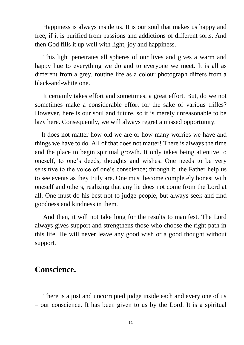Happiness is always inside us. It is our soul that makes us happy and free, if it is purified from passions and addictions of different sorts. And then God fills it up well with light, joy and happiness.

 This light penetrates all spheres of our lives and gives a warm and happy hue to everything we do and to everyone we meet. It is all as different from a grey, routine life as a colour photograph differs from a black-and-white one.

 It certainly takes effort and sometimes, a great effort. But, do we not sometimes make a considerable effort for the sake of various trifles? However, here is our soul and future, so it is merely unreasonable to be lazy here. Consequently, we will always regret a missed opportunity.

 It does not matter how old we are or how many worries we have and things we have to do. All of that does not matter! There is always the time and the place to begin spiritual growth. It only takes being attentive to oneself, to one's deeds, thoughts and wishes. One needs to be very sensitive to the voice of one's conscience; through it, the Father help us to see events as they truly are. One must become completely honest with oneself and others, realizing that any lie does not come from the Lord at all. One must do his best not to judge people, but always seek and find goodness and kindness in them.

 And then, it will not take long for the results to manifest. The Lord always gives support and strengthens those who choose the right path in this life. He will never leave any good wish or a good thought without support.

## **Conscience.**

 There is a just and uncorrupted judge inside each and every one of us – our conscience. It has been given to us by the Lord. It is a spiritual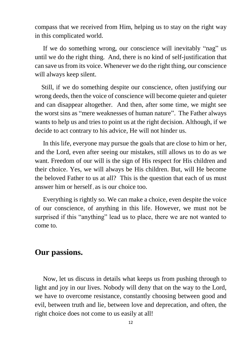compass that we received from Him, helping us to stay on the right way in this complicated world.

 If we do something wrong, our conscience will inevitably "nag" us until we do the right thing. And, there is no kind of self-justification that can save us from its voice. Whenever we do the right thing, our conscience will always keep silent.

 Still, if we do something despite our conscience, often justifying our wrong deeds, then the voice of conscience will become quieter and quieter and can disappear altogether. And then, after some time, we might see the worst sins as "mere weaknesses of human nature". The Father always wants to help us and tries to point us at the right decision. Although, if we decide to act contrary to his advice, He will not hinder us.

 In this life, everyone may pursue the goals that are close to him or her, and the Lord, even after seeing our mistakes, still allows us to do as we want. Freedom of our will is the sign of His respect for His children and their choice. Yes, we will always be His children. But, will He become the beloved Father to us at all? This is the question that each of us must answer him or herself, as is our choice too.

 Everything is rightly so. We can make a choice, even despite the voice of our conscience, of anything in this life. However, we must not be surprised if this "anything" lead us to place, there we are not wanted to come to.

## **Our passions.**

 Now, let us discuss in details what keeps us from pushing through to light and joy in our lives. Nobody will deny that on the way to the Lord, we have to overcome resistance, constantly choosing between good and evil, between truth and lie, between love and deprecation, and often, the right choice does not come to us easily at all!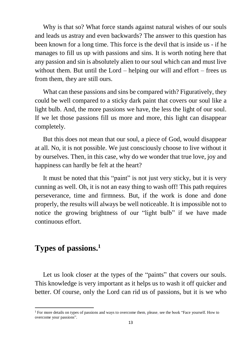Why is that so? What force stands against natural wishes of our souls and leads us astray and even backwards? The answer to this question has been known for a long time. This force is the devil that is inside us - if he manages to fill us up with passions and sins. It is worth noting here that any passion and sin is absolutely alien to our soul which can and must live without them. But until the Lord – helping our will and effort – frees us from them, they are still ours.

 What can these passions and sins be compared with? Figuratively, they could be well compared to a sticky dark paint that covers our soul like a light bulb. And, the more passions we have, the less the light of our soul. If we let those passions fill us more and more, this light can disappear completely.

 But this does not mean that our soul, a piece of God, would disappear at all. No, it is not possible. We just consciously choose to live without it by ourselves. Then, in this case, why do we wonder that true love, joy and happiness can hardly be felt at the heart?

 It must be noted that this "paint" is not just very sticky, but it is very cunning as well. Oh, it is not an easy thing to wash off! This path requires perseverance, time and firmness. But, if the work is done and done properly, the results will always be well noticeable. It is impossible not to notice the growing brightness of our "light bulb" if we have made continuous effort.

# **Types of passions. 1**

 $\overline{a}$ 

Let us look closer at the types of the "paints" that covers our souls. This knowledge is very important as it helps us to wash it off quicker and better. Of course, only the Lord can rid us of passions, but it is we who

<sup>1</sup> For more details on types of passions and ways to overcome them, please, see the book "Face yourself. How to overcome your passions".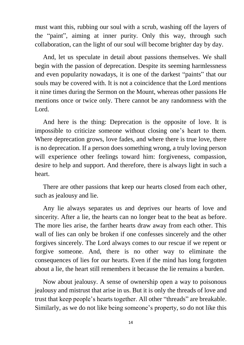must want this, rubbing our soul with a scrub, washing off the layers of the "paint", aiming at inner purity. Only this way, through such collaboration, can the light of our soul will become brighter day by day.

 And, let us speculate in detail about passions themselves. We shall begin with the passion of deprecation. Despite its seeming harmlessness and even popularity nowadays, it is one of the darkest "paints" that our souls may be covered with. It is not a coincidence that the Lord mentions it nine times during the Sermon on the Mount, whereas other passions He mentions once or twice only. There cannot be any randomness with the Lord.

 And here is the thing: Deprecation is the opposite of love. It is impossible to criticize someone without closing one's heart to them. Where deprecation grows, love fades, and where there is true love, there is no deprecation. If a person does something wrong, a truly loving person will experience other feelings toward him: forgiveness, compassion, desire to help and support. And therefore, there is always light in such a heart.

 There are other passions that keep our hearts closed from each other, such as jealousy and lie.

 Any lie always separates us and deprives our hearts of love and sincerity. After a lie, the hearts can no longer beat to the beat as before. The more lies arise, the farther hearts draw away from each other. This wall of lies can only be broken if one confesses sincerely and the other forgives sincerely. The Lord always comes to our rescue if we repent or forgive someone. And, there is no other way to eliminate the consequences of lies for our hearts. Even if the mind has long forgotten about a lie, the heart still remembers it because the lie remains a burden.

 Now about jealousy. A sense of ownership open a way to poisonous jealousy and mistrust that arise in us. But it is only the threads of love and trust that keep people's hearts together. All other "threads" are breakable. Similarly, as we do not like being someone's property, so do not like this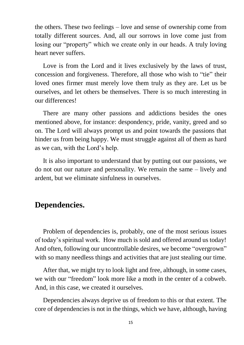the others. These two feelings – love and sense of ownership come from totally different sources. And, all our sorrows in love come just from losing our "property" which we create only in our heads. A truly loving heart never suffers.

 Love is from the Lord and it lives exclusively by the laws of trust, concession and forgiveness. Therefore, all those who wish to "tie" their loved ones firmer must merely love them truly as they are. Let us be ourselves, and let others be themselves. There is so much interesting in our differences!

 There are many other passions and addictions besides the ones mentioned above, for instance: despondency, pride, vanity, greed and so on. The Lord will always prompt us and point towards the passions that hinder us from being happy. We must struggle against all of them as hard as we can, with the Lord's help.

 It is also important to understand that by putting out our passions, we do not out our nature and personality. We remain the same – lively and ardent, but we eliminate sinfulness in ourselves.

### **Dependencies.**

 Problem of dependencies is, probably, one of the most serious issues of today's spiritual work. How much is sold and offered around us today! And often, following our uncontrollable desires, we become "overgrown" with so many needless things and activities that are just stealing our time.

 After that, we might try to look light and free, although, in some cases, we with our "freedom" look more like a moth in the center of a cobweb. And, in this case, we created it ourselves.

 Dependencies always deprive us of freedom to this or that extent. The core of dependencies is not in the things, which we have, although, having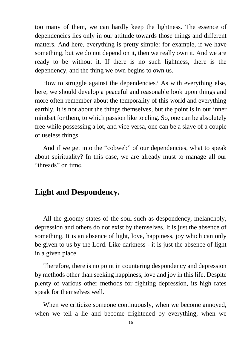too many of them, we can hardly keep the lightness. The essence of dependencies lies only in our attitude towards those things and different matters. And here, everything is pretty simple: for example, if we have something, but we do not depend on it, then we really own it. And we are ready to be without it. If there is no such lightness, there is the dependency, and the thing we own begins to own us.

 How to struggle against the dependencies? As with everything else, here, we should develop a peaceful and reasonable look upon things and more often remember about the temporality of this world and everything earthly. It is not about the things themselves, but the point is in our inner mindset for them, to which passion like to cling. So, one can be absolutely free while possessing a lot, and vice versa, one can be a slave of a couple of useless things.

 And if we get into the "cobweb" of our dependencies, what to speak about spirituality? In this case, we are already must to manage all our "threads" on time.

## **Light and Despondency.**

All the gloomy states of the soul such as despondency, melancholy, depression and others do not exist by themselves. It is just the absence of something. It is an absence of light, love, happiness, joy which can only be given to us by the Lord. Like darkness - it is just the absence of light in a given place.

 Therefore, there is no point in countering despondency and depression by methods other than seeking happiness, love and joy in this life. Despite plenty of various other methods for fighting depression, its high rates speak for themselves well.

 When we criticize someone continuously, when we become annoyed, when we tell a lie and become frightened by everything, when we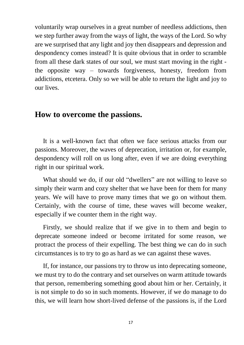voluntarily wrap ourselves in a great number of needless addictions, then we step further away from the ways of light, the ways of the Lord. So why are we surprised that any light and joy then disappears and depression and despondency comes instead? It is quite obvious that in order to scramble from all these dark states of our soul, we must start moving in the right the opposite way – towards forgiveness, honesty, freedom from addictions, etcetera. Only so we will be able to return the light and joy to our lives.

#### **How to overcome the passions.**

 It is a well-known fact that often we face serious attacks from our passions. Moreover, the waves of deprecation, irritation or, for example, despondency will roll on us long after, even if we are doing everything right in our spiritual work.

What should we do, if our old "dwellers" are not willing to leave so simply their warm and cozy shelter that we have been for them for many years. We will have to prove many times that we go on without them. Certainly, with the course of time, these waves will become weaker, especially if we counter them in the right way.

 Firstly, we should realize that if we give in to them and begin to deprecate someone indeed or become irritated for some reason, we protract the process of their expelling. The best thing we can do in such circumstances is to try to go as hard as we can against these waves.

 If, for instance, our passions try to throw us into deprecating someone, we must try to do the contrary and set ourselves on warm attitude towards that person, remembering something good about him or her. Certainly, it is not simple to do so in such moments. However, if we do manage to do this, we will learn how short-lived defense of the passions is, if the Lord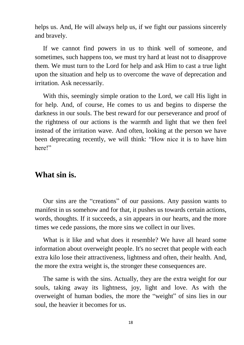helps us. And, He will always help us, if we fight our passions sincerely and bravely.

 If we cannot find powers in us to think well of someone, and sometimes, such happens too, we must try hard at least not to disapprove them. We must turn to the Lord for help and ask Him to cast a true light upon the situation and help us to overcome the wave of deprecation and irritation. Ask necessarily.

 With this, seemingly simple oration to the Lord, we call His light in for help. And, of course, He comes to us and begins to disperse the darkness in our souls. The best reward for our perseverance and proof of the rightness of our actions is the warmth and light that we then feel instead of the irritation wave. And often, looking at the person we have been deprecating recently, we will think: "How nice it is to have him here!"

#### **What sin is.**

 Our sins are the "creations" of our passions. Any passion wants to manifest in us somehow and for that, it pushes us towards certain actions, words, thoughts. If it succeeds, a sin appears in our hearts, and the more times we cede passions, the more sins we collect in our lives.

 What is it like and what does it resemble? We have all heard some information about overweight people. It's no secret that people with each extra kilo lose their attractiveness, lightness and often, their health. And, the more the extra weight is, the stronger these consequences are.

 The same is with the sins. Actually, they are the extra weight for our souls, taking away its lightness, joy, light and love. As with the overweight of human bodies, the more the "weight" of sins lies in our soul, the heavier it becomes for us.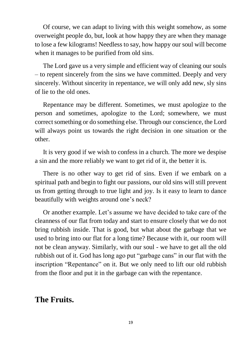Of course, we can adapt to living with this weight somehow, as some overweight people do, but, look at how happy they are when they manage to lose a few kilograms! Needless to say, how happy our soul will become when it manages to be purified from old sins.

 The Lord gave us a very simple and efficient way of cleaning our souls – to repent sincerely from the sins we have committed. Deeply and very sincerely. Without sincerity in repentance, we will only add new, sly sins of lie to the old ones.

 Repentance may be different. Sometimes, we must apologize to the person and sometimes, apologize to the Lord; somewhere, we must correct something or do something else. Through our conscience, the Lord will always point us towards the right decision in one situation or the other.

 It is very good if we wish to confess in a church. The more we despise a sin and the more reliably we want to get rid of it, the better it is.

 There is no other way to get rid of sins. Even if we embark on a spiritual path and begin to fight our passions, our old sins will still prevent us from getting through to true light and joy. Is it easy to learn to dance beautifully with weights around one's neck?

 Or another example. Let's assume we have decided to take care of the cleanness of our flat from today and start to ensure closely that we do not bring rubbish inside. That is good, but what about the garbage that we used to bring into our flat for a long time? Because with it, our room will not be clean anyway. Similarly, with our soul - we have to get all the old rubbish out of it. God has long ago put "garbage cans" in our flat with the inscription "Repentance" on it. But we only need to lift our old rubbish from the floor and put it in the garbage can with the repentance.

## **The Fruits.**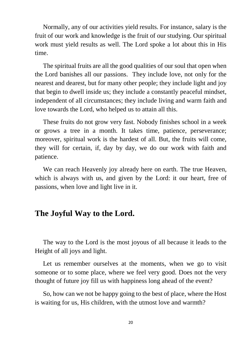Normally, any of our activities yield results. For instance, salary is the fruit of our work and knowledge is the fruit of our studying. Our spiritual work must yield results as well. The Lord spoke a lot about this in His time.

 The spiritual fruits are all the good qualities of our soul that open when the Lord banishes all our passions. They include love, not only for the nearest and dearest, but for many other people; they include light and joy that begin to dwell inside us; they include a constantly peaceful mindset, independent of all circumstances; they include living and warm faith and love towards the Lord, who helped us to attain all this.

 These fruits do not grow very fast. Nobody finishes school in a week or grows a tree in a month. It takes time, patience, perseverance; moreover, spiritual work is the hardest of all. But, the fruits will come, they will for certain, if, day by day, we do our work with faith and patience.

 We can reach Heavenly joy already here on earth. The true Heaven, which is always with us, and given by the Lord: it our heart, free of passions, when love and light live in it.

### **The Joyful Way to the Lord.**

 The way to the Lord is the most joyous of all because it leads to the Height of all joys and light.

 Let us remember ourselves at the moments, when we go to visit someone or to some place, where we feel very good. Does not the very thought of future joy fill us with happiness long ahead of the event?

 So, how can we not be happy going to the best of place, where the Host is waiting for us, His children, with the utmost love and warmth?